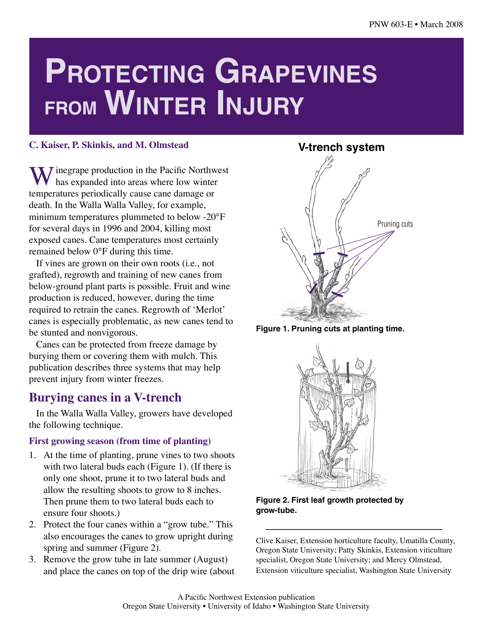# **Protecting Grapevines from Winter Injury**

#### **C. Kaiser, P. Skinkis, and M. Olmstead**

 $\sum$  *I* inegrape production in the Pacific Northwest has expanded into areas where low winter temperatures periodically cause cane damage or death. In the Walla Walla Valley, for example, minimum temperatures plummeted to below -20°F for several days in 1996 and 2004, killing most exposed canes. Cane temperatures most certainly remained below 0°F during this time.

If vines are grown on their own roots (i.e., not grafted), regrowth and training of new canes from below-ground plant parts is possible. Fruit and wine production is reduced, however, during the time required to retrain the canes. Regrowth of 'Merlot' canes is especially problematic, as new canes tend to be stunted and nonvigorous.

Canes can be protected from freeze damage by burying them or covering them with mulch. This publication describes three systems that may help prevent injury from winter freezes.

## **Burying canes in a V-trench**

In the Walla Walla Valley, growers have developed the following technique.

#### **First growing season (from time of planting)**

- 1. At the time of planting, prune vines to two shoots with two lateral buds each (Figure 1). (If there is only one shoot, prune it to two lateral buds and allow the resulting shoots to grow to 8 inches. Then prune them to two lateral buds each to ensure four shoots.)
- 2. Protect the four canes within a "grow tube." This also encourages the canes to grow upright during spring and summer (Figure 2).
- 3. Remove the grow tube in late summer (August) and place the canes on top of the drip wire (about



**Figure 1. Pruning cuts at planting time.**



**Figure 2. First leaf growth protected by grow-tube.**

Clive Kaiser, Extension horticulture faculty, Umatilla County, Oregon State University; Patty Skinkis, Extension viticulture specialist, Oregon State University; and Mercy Olmstead, Extension viticulture specialist, Washington State University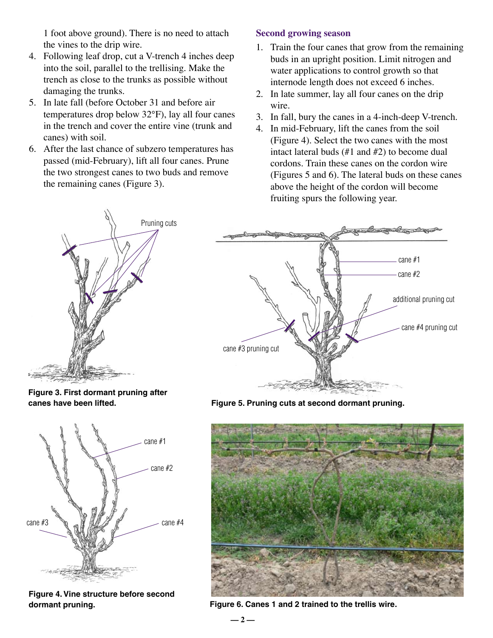1 foot above ground). There is no need to attach the vines to the drip wire.

- 4. Following leaf drop, cut a V-trench 4 inches deep into the soil, parallel to the trellising. Make the trench as close to the trunks as possible without damaging the trunks.
- 5. In late fall (before October 31 and before air temperatures drop below 32°F), lay all four canes in the trench and cover the entire vine (trunk and canes) with soil.
- 6. After the last chance of subzero temperatures has passed (mid-February), lift all four canes. Prune the two strongest canes to two buds and remove the remaining canes (Figure 3).

## **Second growing season**

- 1. Train the four canes that grow from the remaining buds in an upright position. Limit nitrogen and water applications to control growth so that internode length does not exceed 6 inches.
- 2. In late summer, lay all four canes on the drip wire.
- 3. In fall, bury the canes in a 4-inch-deep V-trench.
- 4. In mid-February, lift the canes from the soil (Figure 4). Select the two canes with the most intact lateral buds (#1 and #2) to become dual cordons. Train these canes on the cordon wire (Figures 5 and 6). The lateral buds on these canes above the height of the cordon will become fruiting spurs the following year.



**Figure 3. First dormant pruning after canes have been lifted.**



**Figure 4. Vine structure before second dormant pruning.**



**Figure 5. Pruning cuts at second dormant pruning.**



**Figure 6. Canes 1 and 2 trained to the trellis wire.**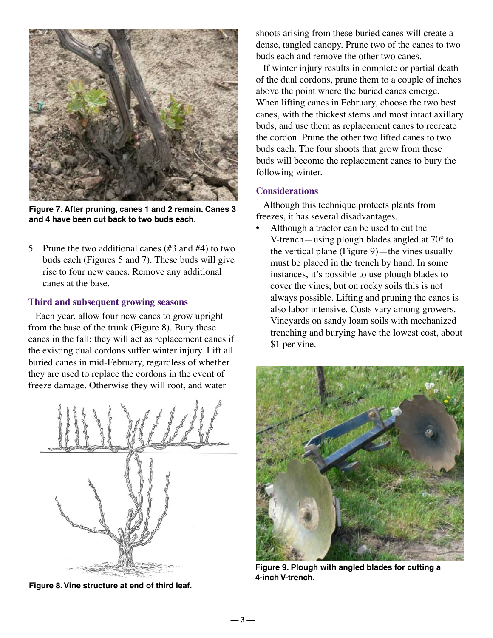

**Figure 7. After pruning, canes 1 and 2 remain. Canes 3 and 4 have been cut back to two buds each.**

5. Prune the two additional canes (#3 and #4) to two buds each (Figures 5 and 7). These buds will give rise to four new canes. Remove any additional canes at the base.

#### **Third and subsequent growing seasons**

Each year, allow four new canes to grow upright from the base of the trunk (Figure 8). Bury these canes in the fall; they will act as replacement canes if the existing dual cordons suffer winter injury. Lift all buried canes in mid-February, regardless of whether they are used to replace the cordons in the event of freeze damage. Otherwise they will root, and water



**Figure 8. Vine structure at end of third leaf.**

shoots arising from these buried canes will create a dense, tangled canopy. Prune two of the canes to two buds each and remove the other two canes.

If winter injury results in complete or partial death of the dual cordons, prune them to a couple of inches above the point where the buried canes emerge. When lifting canes in February, choose the two best canes, with the thickest stems and most intact axillary buds, and use them as replacement canes to recreate the cordon. Prune the other two lifted canes to two buds each. The four shoots that grow from these buds will become the replacement canes to bury the following winter.

#### **Considerations**

Although this technique protects plants from freezes, it has several disadvantages.

• Although a tractor can be used to cut the V-trench—using plough blades angled at 70º to the vertical plane (Figure 9)—the vines usually must be placed in the trench by hand. In some instances, it's possible to use plough blades to cover the vines, but on rocky soils this is not always possible. Lifting and pruning the canes is also labor intensive. Costs vary among growers. Vineyards on sandy loam soils with mechanized trenching and burying have the lowest cost, about \$1 per vine.



**Figure 9. Plough with angled blades for cutting a 4-inch V-trench.** 

**— 3 —**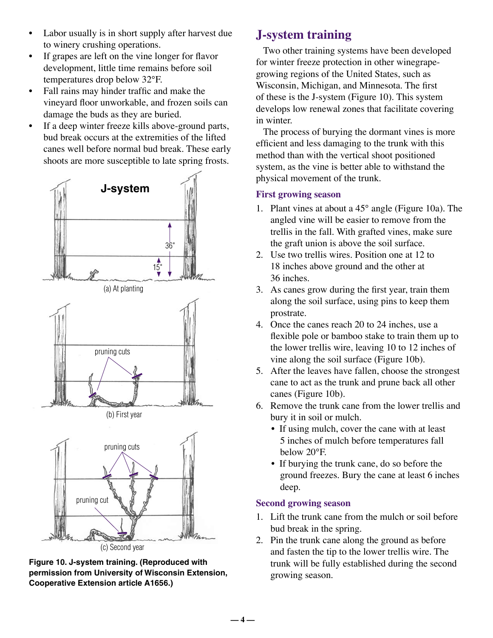- Labor usually is in short supply after harvest due to winery crushing operations.
- If grapes are left on the vine longer for flavor development, little time remains before soil temperatures drop below 32°F.
- Fall rains may hinder traffic and make the vineyard floor unworkable, and frozen soils can damage the buds as they are buried.
- If a deep winter freeze kills above-ground parts, bud break occurs at the extremities of the lifted canes well before normal bud break. These early shoots are more susceptible to late spring frosts.





**Figure 10. J-system training. (Reproduced with permission from University of Wisconsin Extension, Cooperative Extension article A1656.)** 

# **J-system training**

Two other training systems have been developed for winter freeze protection in other winegrapegrowing regions of the United States, such as Wisconsin, Michigan, and Minnesota. The first of these is the J-system (Figure 10). This system develops low renewal zones that facilitate covering in winter.

The process of burying the dormant vines is more efficient and less damaging to the trunk with this method than with the vertical shoot positioned system, as the vine is better able to withstand the physical movement of the trunk.

## **First growing season**

- 1. Plant vines at about a 45° angle (Figure 10a). The angled vine will be easier to remove from the trellis in the fall. With grafted vines, make sure the graft union is above the soil surface.
- 2. Use two trellis wires. Position one at 12 to 18 inches above ground and the other at 36 inches.
- 3. As canes grow during the first year, train them along the soil surface, using pins to keep them prostrate.
- 4. Once the canes reach 20 to 24 inches, use a flexible pole or bamboo stake to train them up to the lower trellis wire, leaving 10 to 12 inches of vine along the soil surface (Figure 10b).
- 5. After the leaves have fallen, choose the strongest cane to act as the trunk and prune back all other canes (Figure 10b).
- 6. Remove the trunk cane from the lower trellis and bury it in soil or mulch.
	- If using mulch, cover the cane with at least 5 inches of mulch before temperatures fall below 20°F.
	- If burying the trunk cane, do so before the ground freezes. Bury the cane at least 6 inches deep.

## **Second growing season**

- 1. Lift the trunk cane from the mulch or soil before bud break in the spring.
- 2. Pin the trunk cane along the ground as before and fasten the tip to the lower trellis wire. The trunk will be fully established during the second growing season.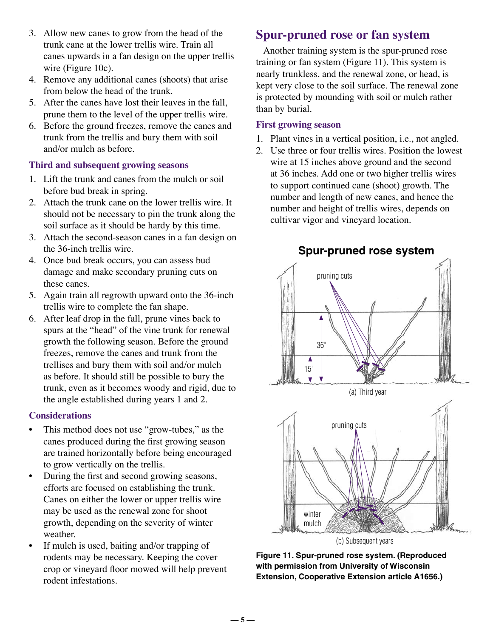- 3. Allow new canes to grow from the head of the trunk cane at the lower trellis wire. Train all canes upwards in a fan design on the upper trellis wire (Figure 10c).
- 4. Remove any additional canes (shoots) that arise from below the head of the trunk.
- 5. After the canes have lost their leaves in the fall, prune them to the level of the upper trellis wire.
- 6. Before the ground freezes, remove the canes and trunk from the trellis and bury them with soil and/or mulch as before.

#### **Third and subsequent growing seasons**

- 1. Lift the trunk and canes from the mulch or soil before bud break in spring.
- 2. Attach the trunk cane on the lower trellis wire. It should not be necessary to pin the trunk along the soil surface as it should be hardy by this time.
- 3. Attach the second-season canes in a fan design on the 36-inch trellis wire.
- 4. Once bud break occurs, you can assess bud damage and make secondary pruning cuts on these canes.
- 5. Again train all regrowth upward onto the 36-inch trellis wire to complete the fan shape.
- 6. After leaf drop in the fall, prune vines back to spurs at the "head" of the vine trunk for renewal growth the following season. Before the ground freezes, remove the canes and trunk from the trellises and bury them with soil and/or mulch as before. It should still be possible to bury the trunk, even as it becomes woody and rigid, due to the angle established during years 1 and 2.

## **Considerations**

- This method does not use "grow-tubes," as the canes produced during the first growing season are trained horizontally before being encouraged to grow vertically on the trellis.
- During the first and second growing seasons, efforts are focused on establishing the trunk. Canes on either the lower or upper trellis wire may be used as the renewal zone for shoot growth, depending on the severity of winter weather.
- If mulch is used, baiting and/or trapping of rodents may be necessary. Keeping the cover crop or vineyard floor mowed will help prevent rodent infestations.

# **Spur-pruned rose or fan system**

Another training system is the spur-pruned rose training or fan system (Figure 11). This system is nearly trunkless, and the renewal zone, or head, is kept very close to the soil surface. The renewal zone is protected by mounding with soil or mulch rather than by burial.

#### **First growing season**

- 1. Plant vines in a vertical position, i.e., not angled.
- 2. Use three or four trellis wires. Position the lowest wire at 15 inches above ground and the second at 36 inches. Add one or two higher trellis wires to support continued cane (shoot) growth. The number and length of new canes, and hence the number and height of trellis wires, depends on cultivar vigor and vineyard location.



**Figure 11. Spur-pruned rose system. (Reproduced with permission from University of Wisconsin Extension, Cooperative Extension article A1656.)**